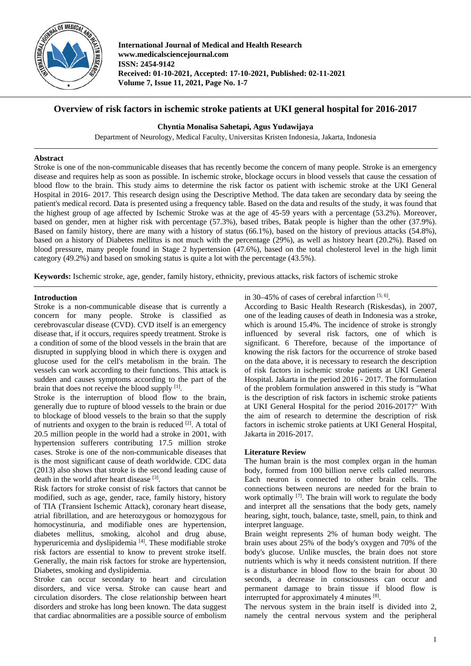

**International Journal of Medical and Health Research www.medicalsciencejournal.com ISSN: 2454-9142 Received: 01-10-2021, Accepted: 17-10-2021, Published: 02-11-2021 Volume 7, Issue 11, 2021, Page No. 1-7**

# **Overview of risk factors in ischemic stroke patients at UKI general hospital for 2016-2017**

### **Chyntia Monalisa Sahetapi, Agus Yudawijaya**

Department of Neurology, Medical Faculty, Universitas Kristen Indonesia, Jakarta, Indonesia

#### **Abstract**

Stroke is one of the non-communicable diseases that has recently become the concern of many people. Stroke is an emergency disease and requires help as soon as possible. In ischemic stroke, blockage occurs in blood vessels that cause the cessation of blood flow to the brain. This study aims to determine the risk factor os patient with ischemic stroke at the UKI General Hospital in 2016- 2017. This research design using the Descriptive Method. The data taken are secondary data by seeing the patient's medical record. Data is presented using a frequency table. Based on the data and results of the study, it was found that the highest group of age affected by Ischemic Stroke was at the age of 45-59 years with a percentage (53.2%). Moreover, based on gender, men at higher risk with percentage (57.3%), based tribes, Batak people is higher than the other (37.9%). Based on family history, there are many with a history of status (66.1%), based on the history of previous attacks (54.8%), based on a history of Diabetes mellitus is not much with the percentage (29%), as well as history heart (20.2%). Based on blood pressure, many people found in Stage 2 hypertension (47.6%), based on the total cholesterol level in the high limit category (49.2%) and based on smoking status is quite a lot with the percentage (43.5%).

**Keywords:** Ischemic stroke, age, gender, family history, ethnicity, previous attacks, risk factors of ischemic stroke

#### **Introduction**

Stroke is a non-communicable disease that is currently a concern for many people. Stroke is classified as cerebrovascular disease (CVD). CVD itself is an emergency disease that, if it occurs, requires speedy treatment. Stroke is a condition of some of the blood vessels in the brain that are disrupted in supplying blood in which there is oxygen and glucose used for the cell's metabolism in the brain. The vessels can work according to their functions. This attack is sudden and causes symptoms according to the part of the brain that does not receive the blood supply  $[1]$ .

Stroke is the interruption of blood flow to the brain, generally due to rupture of blood vessels to the brain or due to blockage of blood vessels to the brain so that the supply of nutrients and oxygen to the brain is reduced [2]. A total of 20.5 million people in the world had a stroke in 2001, with hypertension sufferers contributing 17.5 million stroke cases. Stroke is one of the non-communicable diseases that is the most significant cause of death worldwide. CDC data (2013) also shows that stroke is the second leading cause of death in the world after heart disease [3].

Risk factors for stroke consist of risk factors that cannot be modified, such as age, gender, race, family history, history of TIA (Transient Ischemic Attack), coronary heart disease, atrial fibrillation, and are heterozygous or homozygous for homocystinuria, and modifiable ones are hypertension, diabetes mellitus, smoking, alcohol and drug abuse, hyperuricemia and dyslipidemia<sup>[4]</sup>. These modifiable stroke risk factors are essential to know to prevent stroke itself. Generally, the main risk factors for stroke are hypertension, Diabetes, smoking and dyslipidemia.

Stroke can occur secondary to heart and circulation disorders, and vice versa. Stroke can cause heart and circulation disorders. The close relationship between heart disorders and stroke has long been known. The data suggest that cardiac abnormalities are a possible source of embolism in 30–45% of cases of cerebral infarction  $[5, 6]$ .

According to Basic Health Research (Riskesdas), in 2007, one of the leading causes of death in Indonesia was a stroke, which is around 15.4%. The incidence of stroke is strongly influenced by several risk factors, one of which is significant. 6 Therefore, because of the importance of knowing the risk factors for the occurrence of stroke based on the data above, it is necessary to research the description of risk factors in ischemic stroke patients at UKI General Hospital. Jakarta in the period 2016 - 2017. The formulation of the problem formulation answered in this study is "What is the description of risk factors in ischemic stroke patients at UKI General Hospital for the period 2016-2017?" With the aim of research to determine the description of risk factors in ischemic stroke patients at UKI General Hospital, Jakarta in 2016-2017.

### **Literature Review**

The human brain is the most complex organ in the human body, formed from 100 billion nerve cells called neurons. Each neuron is connected to other brain cells. The connections between neurons are needed for the brain to work optimally <sup>[7]</sup>. The brain will work to regulate the body and interpret all the sensations that the body gets, namely hearing, sight, touch, balance, taste, smell, pain, to think and interpret language.

Brain weight represents 2% of human body weight. The brain uses about 25% of the body's oxygen and 70% of the body's glucose. Unlike muscles, the brain does not store nutrients which is why it needs consistent nutrition. If there is a disturbance in blood flow to the brain for about 30 seconds, a decrease in consciousness can occur and permanent damage to brain tissue if blood flow is interrupted for approximately 4 minutes [8].

The nervous system in the brain itself is divided into 2, namely the central nervous system and the peripheral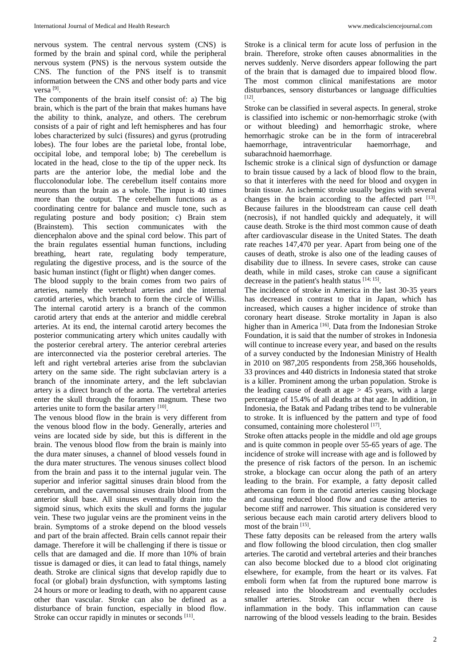nervous system. The central nervous system (CNS) is formed by the brain and spinal cord, while the peripheral nervous system (PNS) is the nervous system outside the CNS. The function of the PNS itself is to transmit information between the CNS and other body parts and vice versa [9].

The components of the brain itself consist of: a) The big brain, which is the part of the brain that makes humans have the ability to think, analyze, and others. The cerebrum consists of a pair of right and left hemispheres and has four lobes characterized by sulci (fissures) and gyrus (protruding lobes). The four lobes are the parietal lobe, frontal lobe, occipital lobe, and temporal lobe; b) The cerebellum is located in the head, close to the tip of the upper neck. Its parts are the anterior lobe, the medial lobe and the fluccolonodular lobe. The cerebellum itself contains more neurons than the brain as a whole. The input is 40 times more than the output. The cerebellum functions as a coordinating centre for balance and muscle tone, such as regulating posture and body position; c) Brain stem (Brainstem). This section communicates with the diencephalon above and the spinal cord below. This part of the brain regulates essential human functions, including breathing, heart rate, regulating body temperature, regulating the digestive process, and is the source of the basic human instinct (fight or flight) when danger comes.

The blood supply to the brain comes from two pairs of arteries, namely the vertebral arteries and the internal carotid arteries, which branch to form the circle of Willis. The internal carotid artery is a branch of the common carotid artery that ends at the anterior and middle cerebral arteries. At its end, the internal carotid artery becomes the posterior communicating artery which unites caudally with the posterior cerebral artery. The anterior cerebral arteries are interconnected via the posterior cerebral arteries. The left and right vertebral arteries arise from the subclavian artery on the same side. The right subclavian artery is a branch of the innominate artery, and the left subclavian artery is a direct branch of the aorta. The vertebral arteries enter the skull through the foramen magnum. These two arteries unite to form the basilar artery [10].

The venous blood flow in the brain is very different from the venous blood flow in the body. Generally, arteries and veins are located side by side, but this is different in the brain. The venous blood flow from the brain is mainly into the dura mater sinuses, a channel of blood vessels found in the dura mater structures. The venous sinuses collect blood from the brain and pass it to the internal jugular vein. The superior and inferior sagittal sinuses drain blood from the cerebrum, and the cavernosal sinuses drain blood from the anterior skull base. All sinuses eventually drain into the sigmoid sinus, which exits the skull and forms the jugular vein. These two jugular veins are the prominent veins in the brain. Symptoms of a stroke depend on the blood vessels and part of the brain affected. Brain cells cannot repair their damage. Therefore it will be challenging if there is tissue or cells that are damaged and die. If more than 10% of brain tissue is damaged or dies, it can lead to fatal things, namely death. Stroke are clinical signs that develop rapidly due to focal (or global) brain dysfunction, with symptoms lasting 24 hours or more or leading to death, with no apparent cause other than vascular. Stroke can also be defined as a disturbance of brain function, especially in blood flow. Stroke can occur rapidly in minutes or seconds [11].

Stroke is a clinical term for acute loss of perfusion in the brain. Therefore, stroke often causes abnormalities in the nerves suddenly. Nerve disorders appear following the part of the brain that is damaged due to impaired blood flow. The most common clinical manifestations are motor disturbances, sensory disturbances or language difficulties [12].

Stroke can be classified in several aspects. In general, stroke is classified into ischemic or non-hemorrhagic stroke (with or without bleeding) and hemorrhagic stroke, where hemorrhagic stroke can be in the form of intracerebral haemorrhage, intraventricular haemorrhage, and subarachnoid haemorrhage.

Ischemic stroke is a clinical sign of dysfunction or damage to brain tissue caused by a lack of blood flow to the brain, so that it interferes with the need for blood and oxygen in brain tissue. An ischemic stroke usually begins with several changes in the brain according to the affected part  $[13]$ . Because failures in the bloodstream can cause cell death (necrosis), if not handled quickly and adequately, it will cause death. Stroke is the third most common cause of death after cardiovascular disease in the United States. The death rate reaches 147,470 per year. Apart from being one of the causes of death, stroke is also one of the leading causes of disability due to illness. In severe cases, stroke can cause death, while in mild cases, stroke can cause a significant decrease in the patient's health status [14; 15].

The incidence of stroke in America in the last 30-35 years has decreased in contrast to that in Japan, which has increased, which causes a higher incidence of stroke than coronary heart disease. Stroke mortality in Japan is also higher than in America<sup>[16]</sup>. Data from the Indonesian Stroke Foundation, it is said that the number of strokes in Indonesia will continue to increase every year, and based on the results of a survey conducted by the Indonesian Ministry of Health in 2010 on 987,205 respondents from 258,366 households, 33 provinces and 440 districts in Indonesia stated that stroke is a killer. Prominent among the urban population. Stroke is the leading cause of death at age  $> 45$  years, with a large percentage of 15.4% of all deaths at that age. In addition, in Indonesia, the Batak and Padang tribes tend to be vulnerable to stroke. It is influenced by the pattern and type of food consumed, containing more cholesterol <sup>[17]</sup>.

Stroke often attacks people in the middle and old age groups and is quite common in people over 55-65 years of age. The incidence of stroke will increase with age and is followed by the presence of risk factors of the person. In an ischemic stroke, a blockage can occur along the path of an artery leading to the brain. For example, a fatty deposit called atheroma can form in the carotid arteries causing blockage and causing reduced blood flow and cause the arteries to become stiff and narrower. This situation is considered very serious because each main carotid artery delivers blood to most of the brain [15].

These fatty deposits can be released from the artery walls and flow following the blood circulation, then clog smaller arteries. The carotid and vertebral arteries and their branches can also become blocked due to a blood clot originating elsewhere, for example, from the heart or its valves. Fat emboli form when fat from the ruptured bone marrow is released into the bloodstream and eventually occludes smaller arteries. Stroke can occur when there is inflammation in the body. This inflammation can cause narrowing of the blood vessels leading to the brain. Besides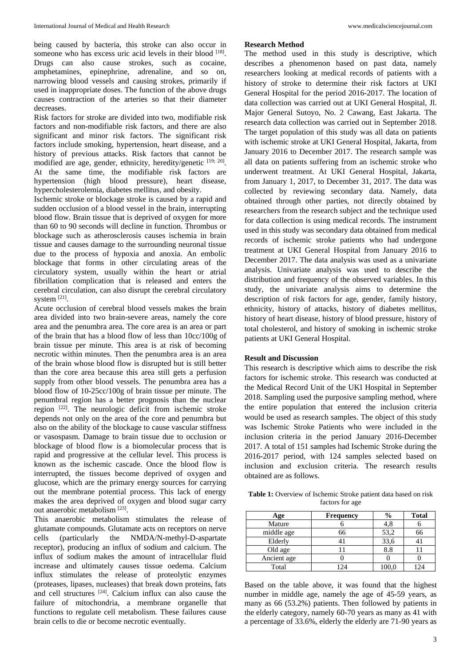being caused by bacteria, this stroke can also occur in someone who has excess uric acid levels in their blood  $^{[18]}$ . Drugs can also cause strokes, such as cocaine, amphetamines, epinephrine, adrenaline, and so on, narrowing blood vessels and causing strokes, primarily if used in inappropriate doses. The function of the above drugs causes contraction of the arteries so that their diameter decreases.

Risk factors for stroke are divided into two, modifiable risk factors and non-modifiable risk factors, and there are also significant and minor risk factors. The significant risk factors include smoking, hypertension, heart disease, and a history of previous attacks. Risk factors that cannot be modified are age, gender, ethnicity, heredity/genetic [19; 20]. At the same time, the modifiable risk factors are hypertension (high blood pressure), heart disease, hypercholesterolemia, diabetes mellitus, and obesity.

Ischemic stroke or blockage stroke is caused by a rapid and sudden occlusion of a blood vessel in the brain, interrupting blood flow. Brain tissue that is deprived of oxygen for more than 60 to 90 seconds will decline in function. Thrombus or blockage such as atherosclerosis causes ischemia in brain tissue and causes damage to the surrounding neuronal tissue due to the process of hypoxia and anoxia. An embolic blockage that forms in other circulating areas of the circulatory system, usually within the heart or atrial fibrillation complication that is released and enters the cerebral circulation, can also disrupt the cerebral circulatory system [21].

Acute occlusion of cerebral blood vessels makes the brain area divided into two brain-severe areas, namely the core area and the penumbra area. The core area is an area or part of the brain that has a blood flow of less than 10cc/100g of brain tissue per minute. This area is at risk of becoming necrotic within minutes. Then the penumbra area is an area of the brain whose blood flow is disrupted but is still better than the core area because this area still gets a perfusion supply from other blood vessels. The penumbra area has a blood flow of 10-25cc/100g of brain tissue per minute. The penumbral region has a better prognosis than the nuclear region [22]. The neurologic deficit from ischemic stroke depends not only on the area of the core and penumbra but also on the ability of the blockage to cause vascular stiffness or vasospasm. Damage to brain tissue due to occlusion or blockage of blood flow is a biomolecular process that is rapid and progressive at the cellular level. This process is known as the ischemic cascade. Once the blood flow is interrupted, the tissues become deprived of oxygen and glucose, which are the primary energy sources for carrying out the membrane potential process. This lack of energy makes the area deprived of oxygen and blood sugar carry out anaerobic metabolism [23].

This anaerobic metabolism stimulates the release of glutamate compounds. Glutamate acts on receptors on nerve cells (particularly the NMDA/N-methyl-D-aspartate receptor), producing an influx of sodium and calcium. The influx of sodium makes the amount of intracellular fluid increase and ultimately causes tissue oedema. Calcium influx stimulates the release of proteolytic enzymes (proteases, lipases, nucleases) that break down proteins, fats and cell structures  $[24]$ . Calcium influx can also cause the failure of mitochondria, a membrane organelle that functions to regulate cell metabolism. These failures cause brain cells to die or become necrotic eventually.

#### **Research Method**

The method used in this study is descriptive, which describes a phenomenon based on past data, namely researchers looking at medical records of patients with a history of stroke to determine their risk factors at UKI General Hospital for the period 2016-2017. The location of data collection was carried out at UKI General Hospital, Jl. Major General Sutoyo, No. 2 Cawang, East Jakarta. The research data collection was carried out in September 2018. The target population of this study was all data on patients with ischemic stroke at UKI General Hospital, Jakarta, from January 2016 to December 2017. The research sample was all data on patients suffering from an ischemic stroke who underwent treatment. At UKI General Hospital, Jakarta, from January 1, 2017, to December 31, 2017. The data was collected by reviewing secondary data. Namely, data obtained through other parties, not directly obtained by researchers from the research subject and the technique used for data collection is using medical records. The instrument used in this study was secondary data obtained from medical records of ischemic stroke patients who had undergone treatment at UKI General Hospital from January 2016 to December 2017. The data analysis was used as a univariate analysis. Univariate analysis was used to describe the distribution and frequency of the observed variables. In this study, the univariate analysis aims to determine the description of risk factors for age, gender, family history, ethnicity, history of attacks, history of diabetes mellitus, history of heart disease, history of blood pressure, history of total cholesterol, and history of smoking in ischemic stroke patients at UKI General Hospital.

#### **Result and Discussion**

This research is descriptive which aims to describe the risk factors for ischemic stroke. This research was conducted at the Medical Record Unit of the UKI Hospital in September 2018. Sampling used the purposive sampling method, where the entire population that entered the inclusion criteria would be used as research samples. The object of this study was Ischemic Stroke Patients who were included in the inclusion criteria in the period January 2016-December 2017. A total of 151 samples had Ischemic Stroke during the 2016-2017 period, with 124 samples selected based on inclusion and exclusion criteria. The research results obtained are as follows.

**Table 1:** Overview of Ischemic Stroke patient data based on risk factors for age

| Age         | <b>Frequency</b> | $\%$  | <b>Total</b> |
|-------------|------------------|-------|--------------|
| Mature      |                  | 4,8   |              |
| middle age  | 66               | 53,2  | 66           |
| Elderly     |                  | 33,6  |              |
| Old age     |                  | 8.8   |              |
| Ancient age |                  |       |              |
| Total       | 124              | 100,0 | 124          |

Based on the table above, it was found that the highest number in middle age, namely the age of 45-59 years, as many as 66 (53.2%) patients. Then followed by patients in the elderly category, namely 60-70 years as many as 41 with a percentage of 33.6%, elderly the elderly are 71-90 years as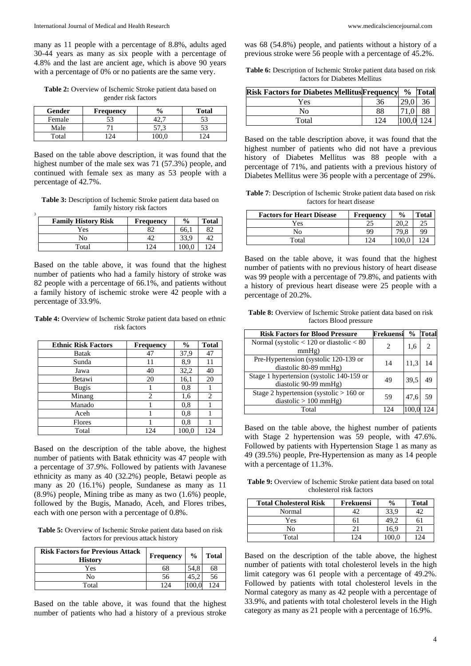many as 11 people with a percentage of 8.8%, adults aged 30-44 years as many as six people with a percentage of 4.8% and the last are ancient age, which is above 90 years with a percentage of 0% or no patients are the same very.

**Table 2:** Overview of Ischemic Stroke patient data based on gender risk factors

| <b>Gender</b> | <b>Frequency</b> | $\frac{6}{9}$ | <b>Total</b> |
|---------------|------------------|---------------|--------------|
| Female        | 53               | т∠.           | 52           |
| Male          |                  |               | 52           |
| Total         |                  |               |              |

Based on the table above description, it was found that the highest number of the male sex was 71 (57.3%) people, and continued with female sex as many as 53 people with a percentage of 42.7%.

**Table 3:** Description of Ischemic Stroke patient data based on family history risk factors

3

| <b>Family History Risk</b> | <b>Frequency</b> | $\frac{0}{0}$ | <b>Total</b> |
|----------------------------|------------------|---------------|--------------|
| Yes                        | 82               | 66.           | 82           |
| No                         |                  |               |              |
| Total                      | 2 <sub>1</sub>   |               |              |

Based on the table above, it was found that the highest number of patients who had a family history of stroke was 82 people with a percentage of 66.1%, and patients without a family history of ischemic stroke were 42 people with a percentage of 33.9%.

**Table 4:** Overview of Ischemic Stroke patient data based on ethnic risk factors

| <b>Ethnic Risk Factors</b> | <b>Frequency</b> | $\frac{6}{9}$ | <b>Total</b> |
|----------------------------|------------------|---------------|--------------|
| Batak                      | 47               | 37,9          | 47           |
| Sunda                      | 11               | 8,9           | 11           |
| Jawa                       | 40               | 32,2          | 40           |
| Betawi                     | 20               | 16,1          | 20           |
| <b>Bugis</b>               |                  | 0,8           |              |
| Minang                     | 2                | 1,6           | 2            |
| Manado                     |                  | 0,8           |              |
| Aceh                       |                  | 0,8           |              |
| Flores                     |                  | 0,8           |              |
| Total                      | 124              | 100,0         | 124          |

Based on the description of the table above, the highest number of patients with Batak ethnicity was 47 people with a percentage of 37.9%. Followed by patients with Javanese ethnicity as many as 40 (32.2%) people, Betawi people as many as 20 (16.1%) people, Sundanese as many as 11 (8.9%) people, Mining tribe as many as two (1.6%) people, followed by the Bugis, Manado, Aceh, and Flores tribes, each with one person with a percentage of 0.8%.

**Table 5:** Overview of Ischemic Stroke patient data based on risk factors for previous attack history

| <b>Risk Factors for Previous Attack</b><br><b>History</b> | Frequency | $\frac{0}{0}$ | <b>Total</b> |
|-----------------------------------------------------------|-----------|---------------|--------------|
| Yes                                                       | 68        | 54.8          | 68           |
| No                                                        | 56        |               | 56           |
| Total                                                     | 174       |               | 124          |

Based on the table above, it was found that the highest number of patients who had a history of a previous stroke

was 68 (54.8%) people, and patients without a history of a previous stroke were 56 people with a percentage of 45.2%.

**Table 6:** Description of Ischemic Stroke patient data based on risk factors for Diabetes Mellitus

| <b>Risk Factors for Diabetes Mellitus Frequency</b> |     |      | % Total |
|-----------------------------------------------------|-----|------|---------|
| Yes                                                 | 36  | 29.0 | 36      |
| Nο                                                  | 88  |      | 88      |
| Total                                               | 124 |      |         |

Based on the table description above, it was found that the highest number of patients who did not have a previous history of Diabetes Mellitus was 88 people with a percentage of 71%, and patients with a previous history of Diabetes Mellitus were 36 people with a percentage of 29%.

**Table 7**: Description of Ischemic Stroke patient data based on risk factors for heart disease

| <b>Factors for Heart Disease</b> | Frequency | $\frac{0}{0}$ | <b>Total</b> |
|----------------------------------|-----------|---------------|--------------|
| Yes                              | າເ        |               | າເ           |
| Nο                               | 99        |               | 99           |
| Total                            |           |               | $\sqrt{2}$   |

Based on the table above, it was found that the highest number of patients with no previous history of heart disease was 99 people with a percentage of 79.8%, and patients with a history of previous heart disease were 25 people with a percentage of 20.2%.

**Table 8:** Overview of Ischemic Stroke patient data based on risk factors Blood pressure

| <b>Risk Factors for Blood Pressure</b>       | Frekuensi | $\frac{0}{0}$ | Total |
|----------------------------------------------|-----------|---------------|-------|
| Normal (systolic $< 120$ or diastolic $< 80$ |           | 1,6           |       |
| mmHg)                                        |           |               |       |
| Pre-Hypertension (systolic 120-139 or        | 14        |               |       |
| diastolic 80-89 mmHg)                        |           | 11,3          |       |
| Stage 1 hypertension (systolic 140-159 or    | 49        | 39.5          |       |
| diastolic 90-99 mmHg)                        |           |               |       |
| Stage 2 hypertension (systolic $> 160$ or    | 59        | 47.6          |       |
| diastolic $> 100$ mmHg)                      |           |               |       |
| Total                                        | 124       |               |       |

Based on the table above, the highest number of patients with Stage 2 hypertension was 59 people, with 47.6%. Followed by patients with Hypertension Stage 1 as many as 49 (39.5%) people, Pre-Hypertension as many as 14 people with a percentage of 11.3%.

**Table 9:** Overview of Ischemic Stroke patient data based on total cholesterol risk factors

| <b>Total Cholesterol Risk</b> | Frekuensi | $\frac{0}{0}$ | <b>Total</b> |
|-------------------------------|-----------|---------------|--------------|
| Normal                        |           | 33.9          |              |
| Yes                           |           |               |              |
| No                            |           | 16.9          |              |
| Total                         | 124       | 100.0         | 124          |

Based on the description of the table above, the highest number of patients with total cholesterol levels in the high limit category was 61 people with a percentage of 49.2%. Followed by patients with total cholesterol levels in the Normal category as many as 42 people with a percentage of 33.9%, and patients with total cholesterol levels in the High category as many as 21 people with a percentage of 16.9%.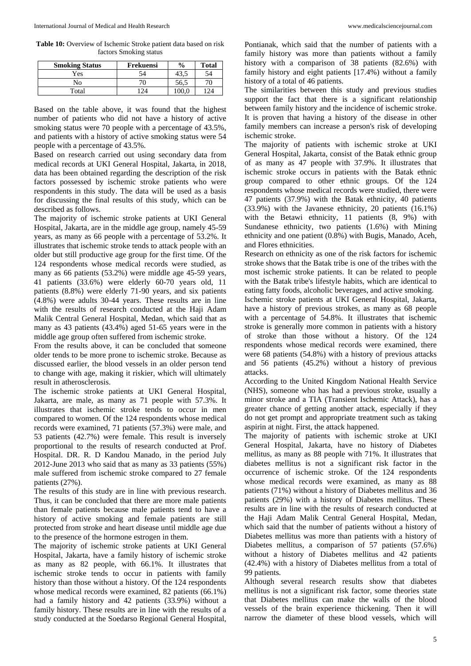**Table 10:** Overview of Ischemic Stroke patient data based on risk factors Smoking status

| <b>Smoking Status</b> | Frekuensi | $\frac{0}{0}$ | <b>Total</b> |
|-----------------------|-----------|---------------|--------------|
| Yes                   | 54        | 43.           | 54           |
| No                    | 70        | 56.5          |              |
| Total                 | 124       | 0.001         | 124          |

Based on the table above, it was found that the highest number of patients who did not have a history of active smoking status were 70 people with a percentage of 43.5%, and patients with a history of active smoking status were 54 people with a percentage of 43.5%.

Based on research carried out using secondary data from medical records at UKI General Hospital, Jakarta, in 2018, data has been obtained regarding the description of the risk factors possessed by ischemic stroke patients who were respondents in this study. The data will be used as a basis for discussing the final results of this study, which can be described as follows.

The majority of ischemic stroke patients at UKI General Hospital, Jakarta, are in the middle age group, namely 45-59 years, as many as 66 people with a percentage of 53.2%. It illustrates that ischemic stroke tends to attack people with an older but still productive age group for the first time. Of the 124 respondents whose medical records were studied, as many as 66 patients (53.2%) were middle age 45-59 years, 41 patients (33.6%) were elderly 60-70 years old, 11 patients (8.8%) were elderly 71-90 years, and six patients (4.8%) were adults 30-44 years. These results are in line with the results of research conducted at the Haji Adam Malik Central General Hospital, Medan, which said that as many as 43 patients (43.4%) aged 51-65 years were in the middle age group often suffered from ischemic stroke.

From the results above, it can be concluded that someone older tends to be more prone to ischemic stroke. Because as discussed earlier, the blood vessels in an older person tend to change with age, making it riskier, which will ultimately result in atherosclerosis.

The ischemic stroke patients at UKI General Hospital, Jakarta, are male, as many as 71 people with 57.3%. It illustrates that ischemic stroke tends to occur in men compared to women. Of the 124 respondents whose medical records were examined, 71 patients (57.3%) were male, and 53 patients (42.7%) were female. This result is inversely proportional to the results of research conducted at Prof. Hospital. DR. R. D Kandou Manado, in the period July 2012-June 2013 who said that as many as 33 patients (55%) male suffered from ischemic stroke compared to 27 female patients (27%).

The results of this study are in line with previous research. Thus, it can be concluded that there are more male patients than female patients because male patients tend to have a history of active smoking and female patients are still protected from stroke and heart disease until middle age due to the presence of the hormone estrogen in them.

The majority of ischemic stroke patients at UKI General Hospital, Jakarta, have a family history of ischemic stroke as many as 82 people, with 66.1%. It illustrates that ischemic stroke tends to occur in patients with family history than those without a history. Of the 124 respondents whose medical records were examined, 82 patients (66.1%) had a family history and 42 patients (33.9%) without a family history. These results are in line with the results of a study conducted at the Soedarso Regional General Hospital, Pontianak, which said that the number of patients with a family history was more than patients without a family history with a comparison of 38 patients (82.6%) with family history and eight patients [17.4%) without a family history of a total of 46 patients.

The similarities between this study and previous studies support the fact that there is a significant relationship between family history and the incidence of ischemic stroke. It is proven that having a history of the disease in other family members can increase a person's risk of developing ischemic stroke.

The majority of patients with ischemic stroke at UKI General Hospital, Jakarta, consist of the Batak ethnic group of as many as 47 people with 37.9%. It illustrates that ischemic stroke occurs in patients with the Batak ethnic group compared to other ethnic groups. Of the 124 respondents whose medical records were studied, there were 47 patients (37.9%) with the Batak ethnicity, 40 patients (33.9%) with the Javanese ethnicity, 20 patients (16.1%) with the Betawi ethnicity, 11 patients (8, 9%) with Sundanese ethnicity, two patients (1.6%) with Mining ethnicity and one patient (0.8%) with Bugis, Manado, Aceh, and Flores ethnicities.

Research on ethnicity as one of the risk factors for ischemic stroke shows that the Batak tribe is one of the tribes with the most ischemic stroke patients. It can be related to people with the Batak tribe's lifestyle habits, which are identical to eating fatty foods, alcoholic beverages, and active smoking.

Ischemic stroke patients at UKI General Hospital, Jakarta, have a history of previous strokes, as many as 68 people with a percentage of 54.8%. It illustrates that ischemic stroke is generally more common in patients with a history of stroke than those without a history. Of the 124 respondents whose medical records were examined, there were 68 patients (54.8%) with a history of previous attacks and 56 patients (45.2%) without a history of previous attacks.

According to the United Kingdom National Health Service (NHS), someone who has had a previous stroke, usually a minor stroke and a TIA (Transient Ischemic Attack), has a greater chance of getting another attack, especially if they do not get prompt and appropriate treatment such as taking aspirin at night. First, the attack happened.

The majority of patients with ischemic stroke at UKI General Hospital, Jakarta, have no history of Diabetes mellitus, as many as 88 people with 71%. It illustrates that diabetes mellitus is not a significant risk factor in the occurrence of ischemic stroke. Of the 124 respondents whose medical records were examined, as many as 88 patients (71%) without a history of Diabetes mellitus and 36 patients (29%) with a history of Diabetes mellitus. These results are in line with the results of research conducted at the Haji Adam Malik Central General Hospital, Medan, which said that the number of patients without a history of Diabetes mellitus was more than patients with a history of Diabetes mellitus, a comparison of 57 patients (57.6%) without a history of Diabetes mellitus and 42 patients (42.4%) with a history of Diabetes mellitus from a total of 99 patients.

Although several research results show that diabetes mellitus is not a significant risk factor, some theories state that Diabetes mellitus can make the walls of the blood vessels of the brain experience thickening. Then it will narrow the diameter of these blood vessels, which will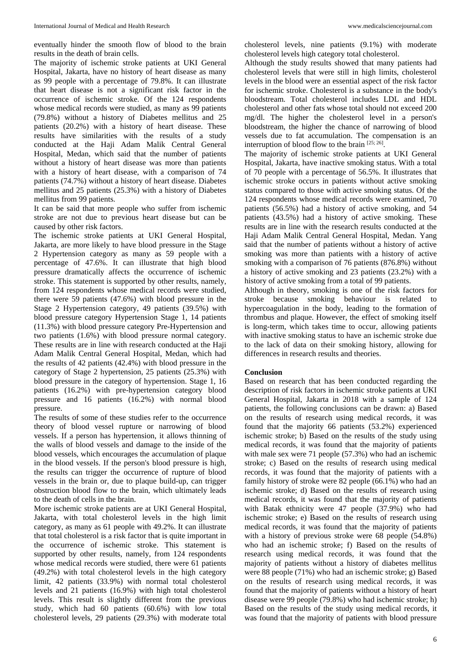eventually hinder the smooth flow of blood to the brain results in the death of brain cells.

The majority of ischemic stroke patients at UKI General Hospital, Jakarta, have no history of heart disease as many as 99 people with a percentage of 79.8%. It can illustrate that heart disease is not a significant risk factor in the occurrence of ischemic stroke. Of the 124 respondents whose medical records were studied, as many as 99 patients (79.8%) without a history of Diabetes mellitus and 25 patients (20.2%) with a history of heart disease. These results have similarities with the results of a study conducted at the Haji Adam Malik Central General Hospital, Medan, which said that the number of patients without a history of heart disease was more than patients with a history of heart disease, with a comparison of 74 patients (74.7%) without a history of heart disease. Diabetes mellitus and 25 patients (25.3%) with a history of Diabetes mellitus from 99 patients.

It can be said that more people who suffer from ischemic stroke are not due to previous heart disease but can be caused by other risk factors.

The ischemic stroke patients at UKI General Hospital, Jakarta, are more likely to have blood pressure in the Stage 2 Hypertension category as many as 59 people with a percentage of 47.6%. It can illustrate that high blood pressure dramatically affects the occurrence of ischemic stroke. This statement is supported by other results, namely, from 124 respondents whose medical records were studied, there were 59 patients (47.6%) with blood pressure in the Stage 2 Hypertension category, 49 patients (39.5%) with blood pressure category Hypertension Stage 1, 14 patients (11.3%) with blood pressure category Pre-Hypertension and two patients (1.6%) with blood pressure normal category. These results are in line with research conducted at the Haji Adam Malik Central General Hospital, Medan, which had the results of 42 patients (42.4%) with blood pressure in the category of Stage 2 hypertension, 25 patients (25.3%) with blood pressure in the category of hypertension. Stage 1, 16 patients (16.2%) with pre-hypertension category blood pressure and 16 patients (16.2%) with normal blood pressure.

The results of some of these studies refer to the occurrence theory of blood vessel rupture or narrowing of blood vessels. If a person has hypertension, it allows thinning of the walls of blood vessels and damage to the inside of the blood vessels, which encourages the accumulation of plaque in the blood vessels. If the person's blood pressure is high, the results can trigger the occurrence of rupture of blood vessels in the brain or, due to plaque build-up, can trigger obstruction blood flow to the brain, which ultimately leads to the death of cells in the brain.

More ischemic stroke patients are at UKI General Hospital, Jakarta, with total cholesterol levels in the high limit category, as many as 61 people with 49.2%. It can illustrate that total cholesterol is a risk factor that is quite important in the occurrence of ischemic stroke. This statement is supported by other results, namely, from 124 respondents whose medical records were studied, there were 61 patients (49.2%) with total cholesterol levels in the high category limit, 42 patients (33.9%) with normal total cholesterol levels and 21 patients (16.9%) with high total cholesterol levels. This result is slightly different from the previous study, which had 60 patients (60.6%) with low total cholesterol levels, 29 patients (29.3%) with moderate total

cholesterol levels, nine patients (9.1%) with moderate cholesterol levels high category total cholesterol.

Although the study results showed that many patients had cholesterol levels that were still in high limits, cholesterol levels in the blood were an essential aspect of the risk factor for ischemic stroke. Cholesterol is a substance in the body's bloodstream. Total cholesterol includes LDL and HDL cholesterol and other fats whose total should not exceed 200 mg/dl. The higher the cholesterol level in a person's bloodstream, the higher the chance of narrowing of blood vessels due to fat accumulation. The compensation is an interruption of blood flow to the brain [25; 26].

The majority of ischemic stroke patients at UKI General Hospital, Jakarta, have inactive smoking status. With a total of 70 people with a percentage of 56.5%. It illustrates that ischemic stroke occurs in patients without active smoking status compared to those with active smoking status. Of the 124 respondents whose medical records were examined, 70 patients (56.5%) had a history of active smoking, and 54 patients (43.5%) had a history of active smoking. These results are in line with the research results conducted at the Haji Adam Malik Central General Hospital, Medan. Yang said that the number of patients without a history of active smoking was more than patients with a history of active smoking with a comparison of 76 patients (876.8%) without a history of active smoking and 23 patients (23.2%) with a history of active smoking from a total of 99 patients.

Although in theory, smoking is one of the risk factors for stroke because smoking behaviour is related to hypercoagulation in the body, leading to the formation of thrombus and plaque. However, the effect of smoking itself is long-term, which takes time to occur, allowing patients with inactive smoking status to have an ischemic stroke due to the lack of data on their smoking history, allowing for differences in research results and theories.

#### **Conclusion**

Based on research that has been conducted regarding the description of risk factors in ischemic stroke patients at UKI General Hospital, Jakarta in 2018 with a sample of 124 patients, the following conclusions can be drawn: a) Based on the results of research using medical records, it was found that the majority 66 patients (53.2%) experienced ischemic stroke; b) Based on the results of the study using medical records, it was found that the majority of patients with male sex were 71 people (57.3%) who had an ischemic stroke; c) Based on the results of research using medical records, it was found that the majority of patients with a family history of stroke were 82 people (66.1%) who had an ischemic stroke; d) Based on the results of research using medical records, it was found that the majority of patients with Batak ethnicity were 47 people (37.9%) who had ischemic stroke; e) Based on the results of research using medical records, it was found that the majority of patients with a history of previous stroke were 68 people (54.8%) who had an ischemic stroke; f) Based on the results of research using medical records, it was found that the majority of patients without a history of diabetes mellitus were 88 people (71%) who had an ischemic stroke; g) Based on the results of research using medical records, it was found that the majority of patients without a history of heart disease were 99 people (79.8%) who had ischemic stroke; h) Based on the results of the study using medical records, it was found that the majority of patients with blood pressure